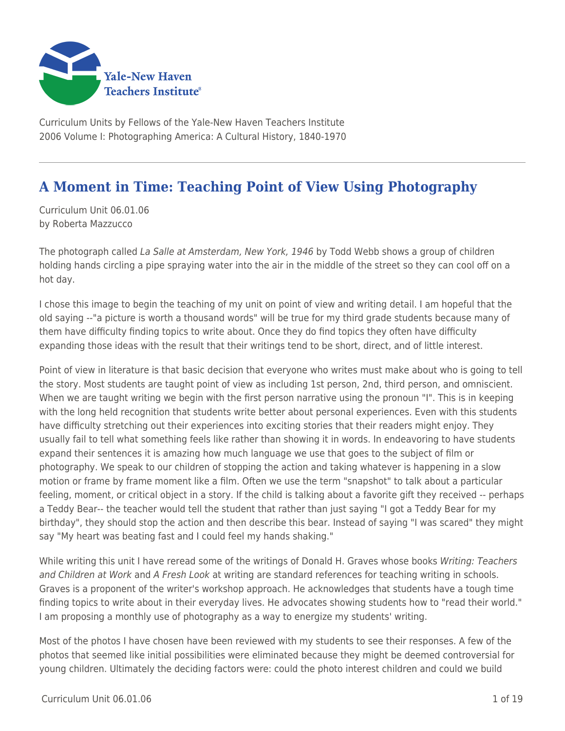

Curriculum Units by Fellows of the Yale-New Haven Teachers Institute 2006 Volume I: Photographing America: A Cultural History, 1840-1970

# **A Moment in Time: Teaching Point of View Using Photography**

Curriculum Unit 06.01.06 by Roberta Mazzucco

The photograph called La Salle at Amsterdam, New York, 1946 by Todd Webb shows a group of children holding hands circling a pipe spraying water into the air in the middle of the street so they can cool off on a hot day.

I chose this image to begin the teaching of my unit on point of view and writing detail. I am hopeful that the old saying --"a picture is worth a thousand words" will be true for my third grade students because many of them have difficulty finding topics to write about. Once they do find topics they often have difficulty expanding those ideas with the result that their writings tend to be short, direct, and of little interest.

Point of view in literature is that basic decision that everyone who writes must make about who is going to tell the story. Most students are taught point of view as including 1st person, 2nd, third person, and omniscient. When we are taught writing we begin with the first person narrative using the pronoun "I". This is in keeping with the long held recognition that students write better about personal experiences. Even with this students have difficulty stretching out their experiences into exciting stories that their readers might enjoy. They usually fail to tell what something feels like rather than showing it in words. In endeavoring to have students expand their sentences it is amazing how much language we use that goes to the subject of film or photography. We speak to our children of stopping the action and taking whatever is happening in a slow motion or frame by frame moment like a film. Often we use the term "snapshot" to talk about a particular feeling, moment, or critical object in a story. If the child is talking about a favorite gift they received -- perhaps a Teddy Bear-- the teacher would tell the student that rather than just saying "I got a Teddy Bear for my birthday", they should stop the action and then describe this bear. Instead of saying "I was scared" they might say "My heart was beating fast and I could feel my hands shaking."

While writing this unit I have reread some of the writings of Donald H. Graves whose books Writing: Teachers and Children at Work and A Fresh Look at writing are standard references for teaching writing in schools. Graves is a proponent of the writer's workshop approach. He acknowledges that students have a tough time finding topics to write about in their everyday lives. He advocates showing students how to "read their world." I am proposing a monthly use of photography as a way to energize my students' writing.

Most of the photos I have chosen have been reviewed with my students to see their responses. A few of the photos that seemed like initial possibilities were eliminated because they might be deemed controversial for young children. Ultimately the deciding factors were: could the photo interest children and could we build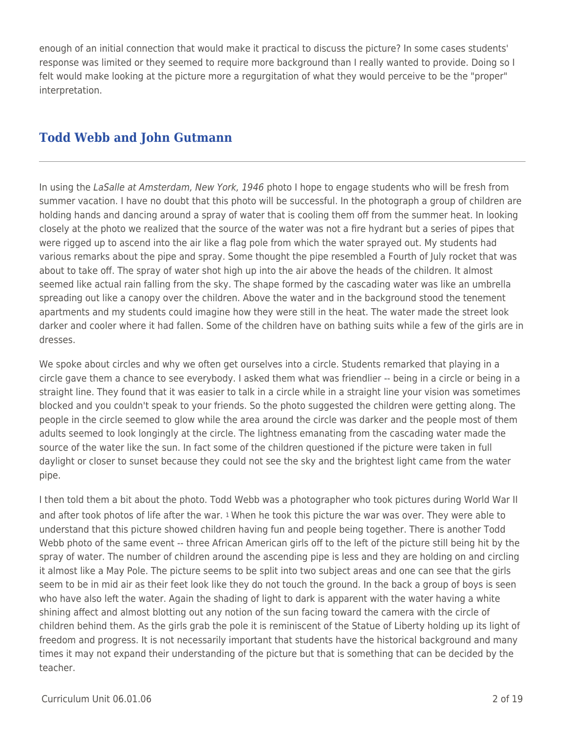enough of an initial connection that would make it practical to discuss the picture? In some cases students' response was limited or they seemed to require more background than I really wanted to provide. Doing so I felt would make looking at the picture more a regurgitation of what they would perceive to be the "proper" interpretation.

## **Todd Webb and John Gutmann**

In using the LaSalle at Amsterdam, New York, 1946 photo I hope to engage students who will be fresh from summer vacation. I have no doubt that this photo will be successful. In the photograph a group of children are holding hands and dancing around a spray of water that is cooling them off from the summer heat. In looking closely at the photo we realized that the source of the water was not a fire hydrant but a series of pipes that were rigged up to ascend into the air like a flag pole from which the water sprayed out. My students had various remarks about the pipe and spray. Some thought the pipe resembled a Fourth of July rocket that was about to take off. The spray of water shot high up into the air above the heads of the children. It almost seemed like actual rain falling from the sky. The shape formed by the cascading water was like an umbrella spreading out like a canopy over the children. Above the water and in the background stood the tenement apartments and my students could imagine how they were still in the heat. The water made the street look darker and cooler where it had fallen. Some of the children have on bathing suits while a few of the girls are in dresses.

We spoke about circles and why we often get ourselves into a circle. Students remarked that playing in a circle gave them a chance to see everybody. I asked them what was friendlier -- being in a circle or being in a straight line. They found that it was easier to talk in a circle while in a straight line your vision was sometimes blocked and you couldn't speak to your friends. So the photo suggested the children were getting along. The people in the circle seemed to glow while the area around the circle was darker and the people most of them adults seemed to look longingly at the circle. The lightness emanating from the cascading water made the source of the water like the sun. In fact some of the children questioned if the picture were taken in full daylight or closer to sunset because they could not see the sky and the brightest light came from the water pipe.

I then told them a bit about the photo. Todd Webb was a photographer who took pictures during World War II and after took photos of life after the war. 1 When he took this picture the war was over. They were able to understand that this picture showed children having fun and people being together. There is another Todd Webb photo of the same event -- three African American girls off to the left of the picture still being hit by the spray of water. The number of children around the ascending pipe is less and they are holding on and circling it almost like a May Pole. The picture seems to be split into two subject areas and one can see that the girls seem to be in mid air as their feet look like they do not touch the ground. In the back a group of boys is seen who have also left the water. Again the shading of light to dark is apparent with the water having a white shining affect and almost blotting out any notion of the sun facing toward the camera with the circle of children behind them. As the girls grab the pole it is reminiscent of the Statue of Liberty holding up its light of freedom and progress. It is not necessarily important that students have the historical background and many times it may not expand their understanding of the picture but that is something that can be decided by the teacher.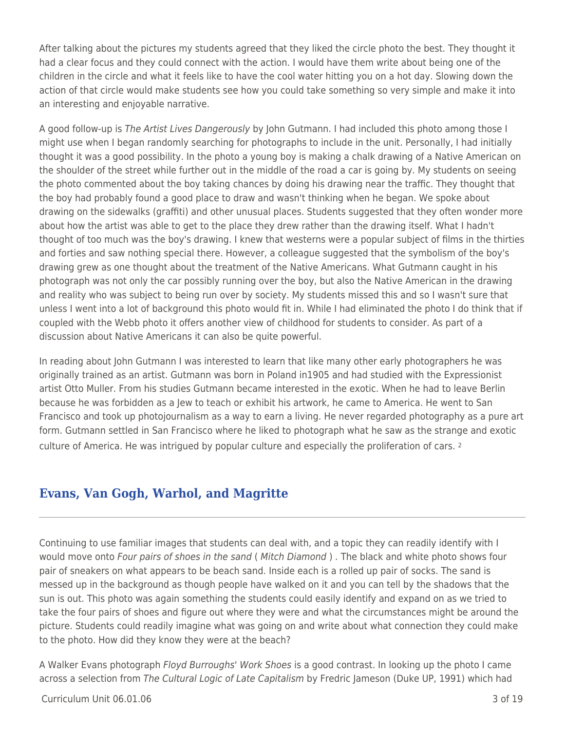After talking about the pictures my students agreed that they liked the circle photo the best. They thought it had a clear focus and they could connect with the action. I would have them write about being one of the children in the circle and what it feels like to have the cool water hitting you on a hot day. Slowing down the action of that circle would make students see how you could take something so very simple and make it into an interesting and enjoyable narrative.

A good follow-up is The Artist Lives Dangerously by John Gutmann. I had included this photo among those I might use when I began randomly searching for photographs to include in the unit. Personally, I had initially thought it was a good possibility. In the photo a young boy is making a chalk drawing of a Native American on the shoulder of the street while further out in the middle of the road a car is going by. My students on seeing the photo commented about the boy taking chances by doing his drawing near the traffic. They thought that the boy had probably found a good place to draw and wasn't thinking when he began. We spoke about drawing on the sidewalks (graffiti) and other unusual places. Students suggested that they often wonder more about how the artist was able to get to the place they drew rather than the drawing itself. What I hadn't thought of too much was the boy's drawing. I knew that westerns were a popular subject of films in the thirties and forties and saw nothing special there. However, a colleague suggested that the symbolism of the boy's drawing grew as one thought about the treatment of the Native Americans. What Gutmann caught in his photograph was not only the car possibly running over the boy, but also the Native American in the drawing and reality who was subject to being run over by society. My students missed this and so I wasn't sure that unless I went into a lot of background this photo would fit in. While I had eliminated the photo I do think that if coupled with the Webb photo it offers another view of childhood for students to consider. As part of a discussion about Native Americans it can also be quite powerful.

In reading about John Gutmann I was interested to learn that like many other early photographers he was originally trained as an artist. Gutmann was born in Poland in1905 and had studied with the Expressionist artist Otto Muller. From his studies Gutmann became interested in the exotic. When he had to leave Berlin because he was forbidden as a Jew to teach or exhibit his artwork, he came to America. He went to San Francisco and took up photojournalism as a way to earn a living. He never regarded photography as a pure art form. Gutmann settled in San Francisco where he liked to photograph what he saw as the strange and exotic culture of America. He was intrigued by popular culture and especially the proliferation of cars. <sup>2</sup>

### **Evans, Van Gogh, Warhol, and Magritte**

Continuing to use familiar images that students can deal with, and a topic they can readily identify with I would move onto Four pairs of shoes in the sand (Mitch Diamond). The black and white photo shows four pair of sneakers on what appears to be beach sand. Inside each is a rolled up pair of socks. The sand is messed up in the background as though people have walked on it and you can tell by the shadows that the sun is out. This photo was again something the students could easily identify and expand on as we tried to take the four pairs of shoes and figure out where they were and what the circumstances might be around the picture. Students could readily imagine what was going on and write about what connection they could make to the photo. How did they know they were at the beach?

A Walker Evans photograph Floyd Burroughs' Work Shoes is a good contrast. In looking up the photo I came across a selection from The Cultural Logic of Late Capitalism by Fredric Jameson (Duke UP, 1991) which had

#### Curriculum Unit 06.01.06 3 of 19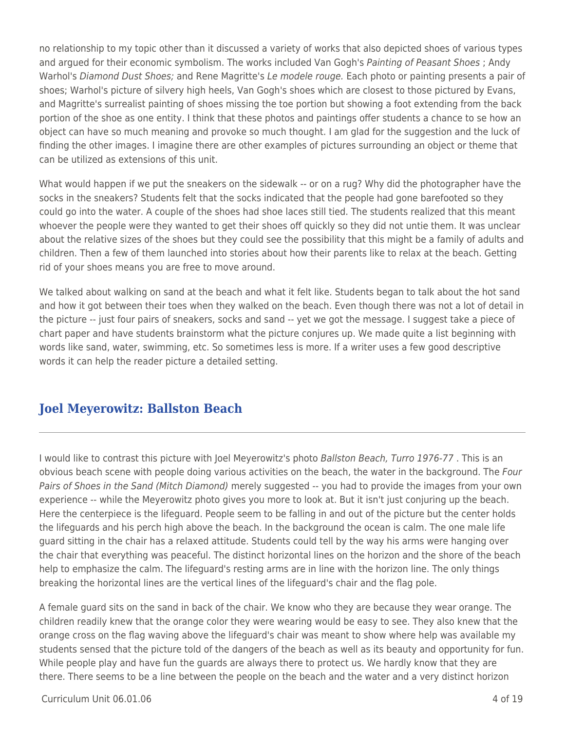no relationship to my topic other than it discussed a variety of works that also depicted shoes of various types and argued for their economic symbolism. The works included Van Gogh's Painting of Peasant Shoes ; Andy Warhol's Diamond Dust Shoes; and Rene Magritte's Le modele rouge. Each photo or painting presents a pair of shoes; Warhol's picture of silvery high heels, Van Gogh's shoes which are closest to those pictured by Evans, and Magritte's surrealist painting of shoes missing the toe portion but showing a foot extending from the back portion of the shoe as one entity. I think that these photos and paintings offer students a chance to se how an object can have so much meaning and provoke so much thought. I am glad for the suggestion and the luck of finding the other images. I imagine there are other examples of pictures surrounding an object or theme that can be utilized as extensions of this unit.

What would happen if we put the sneakers on the sidewalk -- or on a rug? Why did the photographer have the socks in the sneakers? Students felt that the socks indicated that the people had gone barefooted so they could go into the water. A couple of the shoes had shoe laces still tied. The students realized that this meant whoever the people were they wanted to get their shoes off quickly so they did not untie them. It was unclear about the relative sizes of the shoes but they could see the possibility that this might be a family of adults and children. Then a few of them launched into stories about how their parents like to relax at the beach. Getting rid of your shoes means you are free to move around.

We talked about walking on sand at the beach and what it felt like. Students began to talk about the hot sand and how it got between their toes when they walked on the beach. Even though there was not a lot of detail in the picture -- just four pairs of sneakers, socks and sand -- yet we got the message. I suggest take a piece of chart paper and have students brainstorm what the picture conjures up. We made quite a list beginning with words like sand, water, swimming, etc. So sometimes less is more. If a writer uses a few good descriptive words it can help the reader picture a detailed setting.

### **Joel Meyerowitz: Ballston Beach**

I would like to contrast this picture with Joel Meyerowitz's photo Ballston Beach, Turro 1976-77. This is an obvious beach scene with people doing various activities on the beach, the water in the background. The Four Pairs of Shoes in the Sand (Mitch Diamond) merely suggested -- you had to provide the images from your own experience -- while the Meyerowitz photo gives you more to look at. But it isn't just conjuring up the beach. Here the centerpiece is the lifeguard. People seem to be falling in and out of the picture but the center holds the lifeguards and his perch high above the beach. In the background the ocean is calm. The one male life guard sitting in the chair has a relaxed attitude. Students could tell by the way his arms were hanging over the chair that everything was peaceful. The distinct horizontal lines on the horizon and the shore of the beach help to emphasize the calm. The lifeguard's resting arms are in line with the horizon line. The only things breaking the horizontal lines are the vertical lines of the lifeguard's chair and the flag pole.

A female guard sits on the sand in back of the chair. We know who they are because they wear orange. The children readily knew that the orange color they were wearing would be easy to see. They also knew that the orange cross on the flag waving above the lifeguard's chair was meant to show where help was available my students sensed that the picture told of the dangers of the beach as well as its beauty and opportunity for fun. While people play and have fun the guards are always there to protect us. We hardly know that they are there. There seems to be a line between the people on the beach and the water and a very distinct horizon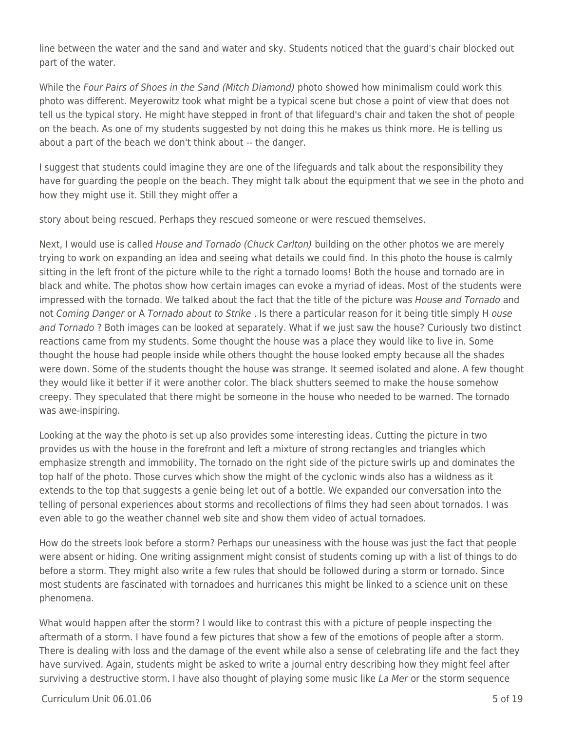line between the water and the sand and water and sky. Students noticed that the guard's chair blocked out part of the water.

While the Four Pairs of Shoes in the Sand (Mitch Diamond) photo showed how minimalism could work this photo was different. Meyerowitz took what might be a typical scene but chose a point of view that does not tell us the typical story. He might have stepped in front of that lifeguard's chair and taken the shot of people on the beach. As one of my students suggested by not doing this he makes us think more. He is telling us about a part of the beach we don't think about -- the danger.

I suggest that students could imagine they are one of the lifeguards and talk about the responsibility they have for guarding the people on the beach. They might talk about the equipment that we see in the photo and how they might use it. Still they might offer a

story about being rescued. Perhaps they rescued someone or were rescued themselves.

Next, I would use is called House and Tornado (Chuck Carlton) building on the other photos we are merely trying to work on expanding an idea and seeing what details we could find. In this photo the house is calmly sitting in the left front of the picture while to the right a tornado looms! Both the house and tornado are in black and white. The photos show how certain images can evoke a myriad of ideas. Most of the students were impressed with the tornado. We talked about the fact that the title of the picture was House and Tornado and not Coming Danger or A Tornado about to Strike. Is there a particular reason for it being title simply H ouse and Tornado ? Both images can be looked at separately. What if we just saw the house? Curiously two distinct reactions came from my students. Some thought the house was a place they would like to live in. Some thought the house had people inside while others thought the house looked empty because all the shades were down. Some of the students thought the house was strange. It seemed isolated and alone. A few thought they would like it better if it were another color. The black shutters seemed to make the house somehow creepy. They speculated that there might be someone in the house who needed to be warned. The tornado was awe-inspiring.

Looking at the way the photo is set up also provides some interesting ideas. Cutting the picture in two provides us with the house in the forefront and left a mixture of strong rectangles and triangles which emphasize strength and immobility. The tornado on the right side of the picture swirls up and dominates the top half of the photo. Those curves which show the might of the cyclonic winds also has a wildness as it extends to the top that suggests a genie being let out of a bottle. We expanded our conversation into the telling of personal experiences about storms and recollections of films they had seen about tornados. I was even able to go the weather channel web site and show them video of actual tornadoes.

How do the streets look before a storm? Perhaps our uneasiness with the house was just the fact that people were absent or hiding. One writing assignment might consist of students coming up with a list of things to do before a storm. They might also write a few rules that should be followed during a storm or tornado. Since most students are fascinated with tornadoes and hurricanes this might be linked to a science unit on these phenomena.

What would happen after the storm? I would like to contrast this with a picture of people inspecting the aftermath of a storm. I have found a few pictures that show a few of the emotions of people after a storm. There is dealing with loss and the damage of the event while also a sense of celebrating life and the fact they have survived. Again, students might be asked to write a journal entry describing how they might feel after surviving a destructive storm. I have also thought of playing some music like La Mer or the storm sequence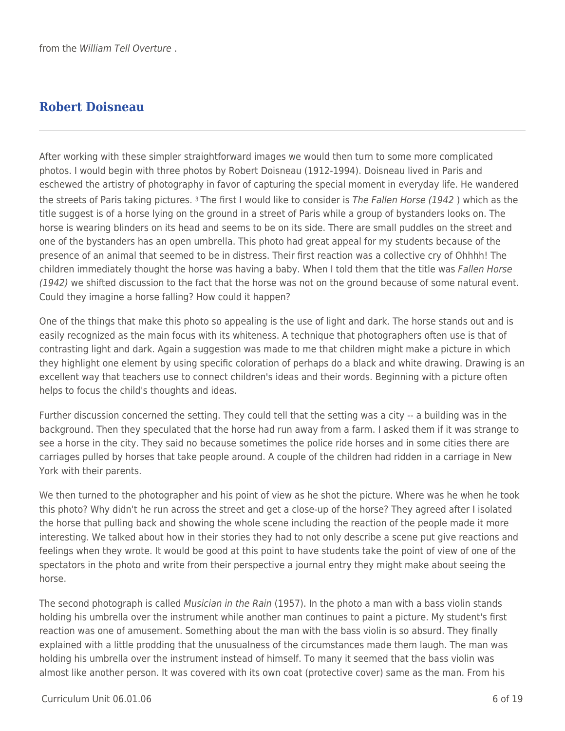## **Robert Doisneau**

After working with these simpler straightforward images we would then turn to some more complicated photos. I would begin with three photos by Robert Doisneau (1912-1994). Doisneau lived in Paris and eschewed the artistry of photography in favor of capturing the special moment in everyday life. He wandered the streets of Paris taking pictures. 3 The first I would like to consider is The Fallen Horse (1942 ) which as the title suggest is of a horse lying on the ground in a street of Paris while a group of bystanders looks on. The horse is wearing blinders on its head and seems to be on its side. There are small puddles on the street and one of the bystanders has an open umbrella. This photo had great appeal for my students because of the presence of an animal that seemed to be in distress. Their first reaction was a collective cry of Ohhhh! The children immediately thought the horse was having a baby. When I told them that the title was Fallen Horse (1942) we shifted discussion to the fact that the horse was not on the ground because of some natural event. Could they imagine a horse falling? How could it happen?

One of the things that make this photo so appealing is the use of light and dark. The horse stands out and is easily recognized as the main focus with its whiteness. A technique that photographers often use is that of contrasting light and dark. Again a suggestion was made to me that children might make a picture in which they highlight one element by using specific coloration of perhaps do a black and white drawing. Drawing is an excellent way that teachers use to connect children's ideas and their words. Beginning with a picture often helps to focus the child's thoughts and ideas.

Further discussion concerned the setting. They could tell that the setting was a city -- a building was in the background. Then they speculated that the horse had run away from a farm. I asked them if it was strange to see a horse in the city. They said no because sometimes the police ride horses and in some cities there are carriages pulled by horses that take people around. A couple of the children had ridden in a carriage in New York with their parents.

We then turned to the photographer and his point of view as he shot the picture. Where was he when he took this photo? Why didn't he run across the street and get a close-up of the horse? They agreed after I isolated the horse that pulling back and showing the whole scene including the reaction of the people made it more interesting. We talked about how in their stories they had to not only describe a scene put give reactions and feelings when they wrote. It would be good at this point to have students take the point of view of one of the spectators in the photo and write from their perspective a journal entry they might make about seeing the horse.

The second photograph is called Musician in the Rain (1957). In the photo a man with a bass violin stands holding his umbrella over the instrument while another man continues to paint a picture. My student's first reaction was one of amusement. Something about the man with the bass violin is so absurd. They finally explained with a little prodding that the unusualness of the circumstances made them laugh. The man was holding his umbrella over the instrument instead of himself. To many it seemed that the bass violin was almost like another person. It was covered with its own coat (protective cover) same as the man. From his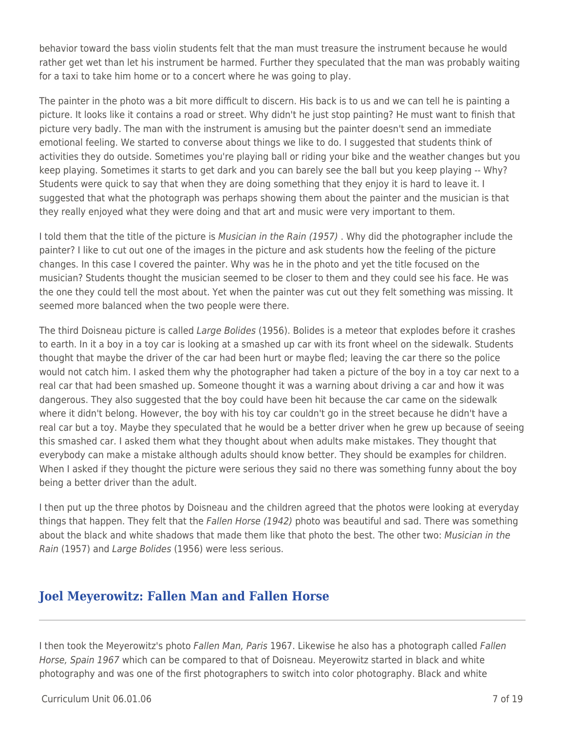behavior toward the bass violin students felt that the man must treasure the instrument because he would rather get wet than let his instrument be harmed. Further they speculated that the man was probably waiting for a taxi to take him home or to a concert where he was going to play.

The painter in the photo was a bit more difficult to discern. His back is to us and we can tell he is painting a picture. It looks like it contains a road or street. Why didn't he just stop painting? He must want to finish that picture very badly. The man with the instrument is amusing but the painter doesn't send an immediate emotional feeling. We started to converse about things we like to do. I suggested that students think of activities they do outside. Sometimes you're playing ball or riding your bike and the weather changes but you keep playing. Sometimes it starts to get dark and you can barely see the ball but you keep playing -- Why? Students were quick to say that when they are doing something that they enjoy it is hard to leave it. I suggested that what the photograph was perhaps showing them about the painter and the musician is that they really enjoyed what they were doing and that art and music were very important to them.

I told them that the title of the picture is *Musician in the Rain (1957)*. Why did the photographer include the painter? I like to cut out one of the images in the picture and ask students how the feeling of the picture changes. In this case I covered the painter. Why was he in the photo and yet the title focused on the musician? Students thought the musician seemed to be closer to them and they could see his face. He was the one they could tell the most about. Yet when the painter was cut out they felt something was missing. It seemed more balanced when the two people were there.

The third Doisneau picture is called Large Bolides (1956). Bolides is a meteor that explodes before it crashes to earth. In it a boy in a toy car is looking at a smashed up car with its front wheel on the sidewalk. Students thought that maybe the driver of the car had been hurt or maybe fled; leaving the car there so the police would not catch him. I asked them why the photographer had taken a picture of the boy in a toy car next to a real car that had been smashed up. Someone thought it was a warning about driving a car and how it was dangerous. They also suggested that the boy could have been hit because the car came on the sidewalk where it didn't belong. However, the boy with his toy car couldn't go in the street because he didn't have a real car but a toy. Maybe they speculated that he would be a better driver when he grew up because of seeing this smashed car. I asked them what they thought about when adults make mistakes. They thought that everybody can make a mistake although adults should know better. They should be examples for children. When I asked if they thought the picture were serious they said no there was something funny about the boy being a better driver than the adult.

I then put up the three photos by Doisneau and the children agreed that the photos were looking at everyday things that happen. They felt that the Fallen Horse (1942) photo was beautiful and sad. There was something about the black and white shadows that made them like that photo the best. The other two: Musician in the Rain (1957) and Large Bolides (1956) were less serious.

### **Joel Meyerowitz: Fallen Man and Fallen Horse**

I then took the Meyerowitz's photo Fallen Man, Paris 1967. Likewise he also has a photograph called Fallen Horse, Spain 1967 which can be compared to that of Doisneau. Meyerowitz started in black and white photography and was one of the first photographers to switch into color photography. Black and white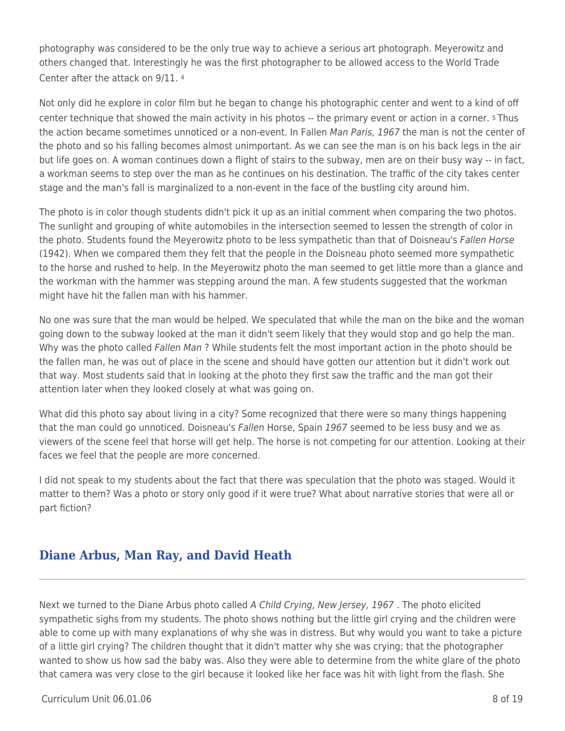photography was considered to be the only true way to achieve a serious art photograph. Meyerowitz and others changed that. Interestingly he was the first photographer to be allowed access to the World Trade Center after the attack on 9/11. <sup>4</sup>

Not only did he explore in color film but he began to change his photographic center and went to a kind of off center technique that showed the main activity in his photos -- the primary event or action in a corner. 5 Thus the action became sometimes unnoticed or a non-event. In Fallen Man Paris, 1967 the man is not the center of the photo and so his falling becomes almost unimportant. As we can see the man is on his back legs in the air but life goes on. A woman continues down a flight of stairs to the subway, men are on their busy way -- in fact, a workman seems to step over the man as he continues on his destination. The traffic of the city takes center stage and the man's fall is marginalized to a non-event in the face of the bustling city around him.

The photo is in color though students didn't pick it up as an initial comment when comparing the two photos. The sunlight and grouping of white automobiles in the intersection seemed to lessen the strength of color in the photo. Students found the Meyerowitz photo to be less sympathetic than that of Doisneau's Fallen Horse (1942). When we compared them they felt that the people in the Doisneau photo seemed more sympathetic to the horse and rushed to help. In the Meyerowitz photo the man seemed to get little more than a glance and the workman with the hammer was stepping around the man. A few students suggested that the workman might have hit the fallen man with his hammer.

No one was sure that the man would be helped. We speculated that while the man on the bike and the woman going down to the subway looked at the man it didn't seem likely that they would stop and go help the man. Why was the photo called Fallen Man? While students felt the most important action in the photo should be the fallen man, he was out of place in the scene and should have gotten our attention but it didn't work out that way. Most students said that in looking at the photo they first saw the traffic and the man got their attention later when they looked closely at what was going on.

What did this photo say about living in a city? Some recognized that there were so many things happening that the man could go unnoticed. Doisneau's Fallen Horse, Spain 1967 seemed to be less busy and we as viewers of the scene feel that horse will get help. The horse is not competing for our attention. Looking at their faces we feel that the people are more concerned.

I did not speak to my students about the fact that there was speculation that the photo was staged. Would it matter to them? Was a photo or story only good if it were true? What about narrative stories that were all or part fiction?

### **Diane Arbus, Man Ray, and David Heath**

Next we turned to the Diane Arbus photo called A Child Crying, New Jersey, 1967. The photo elicited sympathetic sighs from my students. The photo shows nothing but the little girl crying and the children were able to come up with many explanations of why she was in distress. But why would you want to take a picture of a little girl crying? The children thought that it didn't matter why she was crying; that the photographer wanted to show us how sad the baby was. Also they were able to determine from the white glare of the photo that camera was very close to the girl because it looked like her face was hit with light from the flash. She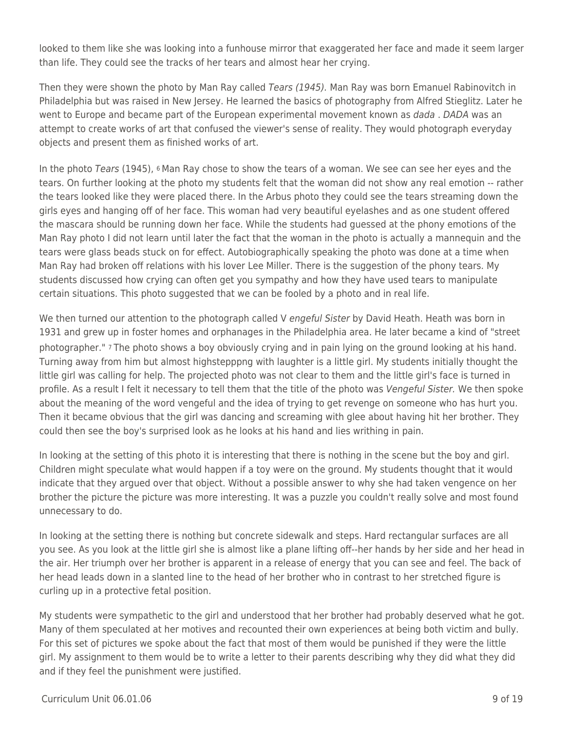looked to them like she was looking into a funhouse mirror that exaggerated her face and made it seem larger than life. They could see the tracks of her tears and almost hear her crying.

Then they were shown the photo by Man Ray called Tears (1945). Man Ray was born Emanuel Rabinovitch in Philadelphia but was raised in New Jersey. He learned the basics of photography from Alfred Stieglitz. Later he went to Europe and became part of the European experimental movement known as *dada . DADA* was an attempt to create works of art that confused the viewer's sense of reality. They would photograph everyday objects and present them as finished works of art.

In the photo Tears (1945), 6 Man Ray chose to show the tears of a woman. We see can see her eyes and the tears. On further looking at the photo my students felt that the woman did not show any real emotion -- rather the tears looked like they were placed there. In the Arbus photo they could see the tears streaming down the girls eyes and hanging off of her face. This woman had very beautiful eyelashes and as one student offered the mascara should be running down her face. While the students had guessed at the phony emotions of the Man Ray photo I did not learn until later the fact that the woman in the photo is actually a mannequin and the tears were glass beads stuck on for effect. Autobiographically speaking the photo was done at a time when Man Ray had broken off relations with his lover Lee Miller. There is the suggestion of the phony tears. My students discussed how crying can often get you sympathy and how they have used tears to manipulate certain situations. This photo suggested that we can be fooled by a photo and in real life.

We then turned our attention to the photograph called V engeful Sister by David Heath. Heath was born in 1931 and grew up in foster homes and orphanages in the Philadelphia area. He later became a kind of "street photographer." 7 The photo shows a boy obviously crying and in pain lying on the ground looking at his hand. Turning away from him but almost highstepppng with laughter is a little girl. My students initially thought the little girl was calling for help. The projected photo was not clear to them and the little girl's face is turned in profile. As a result I felt it necessary to tell them that the title of the photo was Vengeful Sister. We then spoke about the meaning of the word vengeful and the idea of trying to get revenge on someone who has hurt you. Then it became obvious that the girl was dancing and screaming with glee about having hit her brother. They could then see the boy's surprised look as he looks at his hand and lies writhing in pain.

In looking at the setting of this photo it is interesting that there is nothing in the scene but the boy and girl. Children might speculate what would happen if a toy were on the ground. My students thought that it would indicate that they argued over that object. Without a possible answer to why she had taken vengence on her brother the picture the picture was more interesting. It was a puzzle you couldn't really solve and most found unnecessary to do.

In looking at the setting there is nothing but concrete sidewalk and steps. Hard rectangular surfaces are all you see. As you look at the little girl she is almost like a plane lifting off--her hands by her side and her head in the air. Her triumph over her brother is apparent in a release of energy that you can see and feel. The back of her head leads down in a slanted line to the head of her brother who in contrast to her stretched figure is curling up in a protective fetal position.

My students were sympathetic to the girl and understood that her brother had probably deserved what he got. Many of them speculated at her motives and recounted their own experiences at being both victim and bully. For this set of pictures we spoke about the fact that most of them would be punished if they were the little girl. My assignment to them would be to write a letter to their parents describing why they did what they did and if they feel the punishment were justified.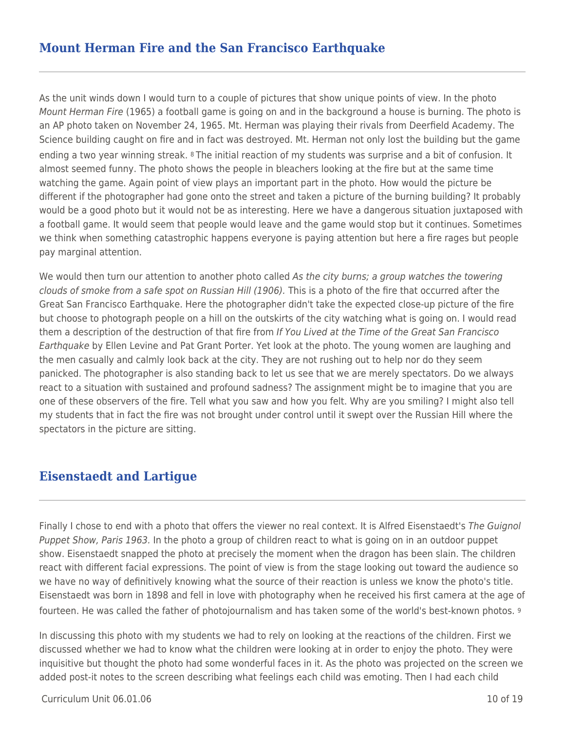As the unit winds down I would turn to a couple of pictures that show unique points of view. In the photo Mount Herman Fire (1965) a football game is going on and in the background a house is burning. The photo is an AP photo taken on November 24, 1965. Mt. Herman was playing their rivals from Deerfield Academy. The Science building caught on fire and in fact was destroyed. Mt. Herman not only lost the building but the game ending a two year winning streak. 8 The initial reaction of my students was surprise and a bit of confusion. It almost seemed funny. The photo shows the people in bleachers looking at the fire but at the same time watching the game. Again point of view plays an important part in the photo. How would the picture be different if the photographer had gone onto the street and taken a picture of the burning building? It probably would be a good photo but it would not be as interesting. Here we have a dangerous situation juxtaposed with a football game. It would seem that people would leave and the game would stop but it continues. Sometimes we think when something catastrophic happens everyone is paying attention but here a fire rages but people pay marginal attention.

We would then turn our attention to another photo called As the city burns; a group watches the towering clouds of smoke from a safe spot on Russian Hill (1906). This is a photo of the fire that occurred after the Great San Francisco Earthquake. Here the photographer didn't take the expected close-up picture of the fire but choose to photograph people on a hill on the outskirts of the city watching what is going on. I would read them a description of the destruction of that fire from If You Lived at the Time of the Great San Francisco Earthquake by Ellen Levine and Pat Grant Porter. Yet look at the photo. The young women are laughing and the men casually and calmly look back at the city. They are not rushing out to help nor do they seem panicked. The photographer is also standing back to let us see that we are merely spectators. Do we always react to a situation with sustained and profound sadness? The assignment might be to imagine that you are one of these observers of the fire. Tell what you saw and how you felt. Why are you smiling? I might also tell my students that in fact the fire was not brought under control until it swept over the Russian Hill where the spectators in the picture are sitting.

### **Eisenstaedt and Lartigue**

Finally I chose to end with a photo that offers the viewer no real context. It is Alfred Eisenstaedt's The Guignol Puppet Show, Paris 1963. In the photo a group of children react to what is going on in an outdoor puppet show. Eisenstaedt snapped the photo at precisely the moment when the dragon has been slain. The children react with different facial expressions. The point of view is from the stage looking out toward the audience so we have no way of definitively knowing what the source of their reaction is unless we know the photo's title. Eisenstaedt was born in 1898 and fell in love with photography when he received his first camera at the age of fourteen. He was called the father of photojournalism and has taken some of the world's best-known photos. <sup>9</sup>

In discussing this photo with my students we had to rely on looking at the reactions of the children. First we discussed whether we had to know what the children were looking at in order to enjoy the photo. They were inquisitive but thought the photo had some wonderful faces in it. As the photo was projected on the screen we added post-it notes to the screen describing what feelings each child was emoting. Then I had each child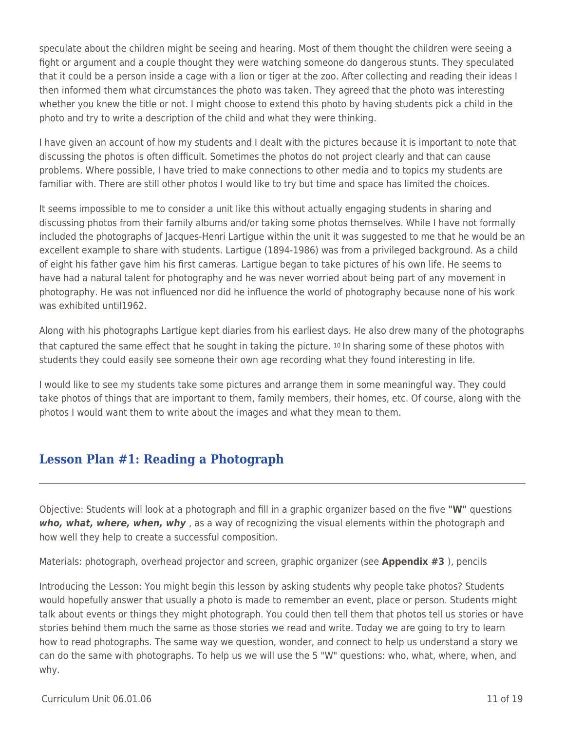speculate about the children might be seeing and hearing. Most of them thought the children were seeing a fight or argument and a couple thought they were watching someone do dangerous stunts. They speculated that it could be a person inside a cage with a lion or tiger at the zoo. After collecting and reading their ideas I then informed them what circumstances the photo was taken. They agreed that the photo was interesting whether you knew the title or not. I might choose to extend this photo by having students pick a child in the photo and try to write a description of the child and what they were thinking.

I have given an account of how my students and I dealt with the pictures because it is important to note that discussing the photos is often difficult. Sometimes the photos do not project clearly and that can cause problems. Where possible, I have tried to make connections to other media and to topics my students are familiar with. There are still other photos I would like to try but time and space has limited the choices.

It seems impossible to me to consider a unit like this without actually engaging students in sharing and discussing photos from their family albums and/or taking some photos themselves. While I have not formally included the photographs of Jacques-Henri Lartigue within the unit it was suggested to me that he would be an excellent example to share with students. Lartigue (1894-1986) was from a privileged background. As a child of eight his father gave him his first cameras. Lartigue began to take pictures of his own life. He seems to have had a natural talent for photography and he was never worried about being part of any movement in photography. He was not influenced nor did he influence the world of photography because none of his work was exhibited until1962.

Along with his photographs Lartigue kept diaries from his earliest days. He also drew many of the photographs that captured the same effect that he sought in taking the picture. 10 In sharing some of these photos with students they could easily see someone their own age recording what they found interesting in life.

I would like to see my students take some pictures and arrange them in some meaningful way. They could take photos of things that are important to them, family members, their homes, etc. Of course, along with the photos I would want them to write about the images and what they mean to them.

### **Lesson Plan #1: Reading a Photograph**

Objective: Students will look at a photograph and fill in a graphic organizer based on the five **"W"** questions *who, what, where, when, why* , as a way of recognizing the visual elements within the photograph and how well they help to create a successful composition.

Materials: photograph, overhead projector and screen, graphic organizer (see **Appendix #3** ), pencils

Introducing the Lesson: You might begin this lesson by asking students why people take photos? Students would hopefully answer that usually a photo is made to remember an event, place or person. Students might talk about events or things they might photograph. You could then tell them that photos tell us stories or have stories behind them much the same as those stories we read and write. Today we are going to try to learn how to read photographs. The same way we question, wonder, and connect to help us understand a story we can do the same with photographs. To help us we will use the 5 "W" questions: who, what, where, when, and why.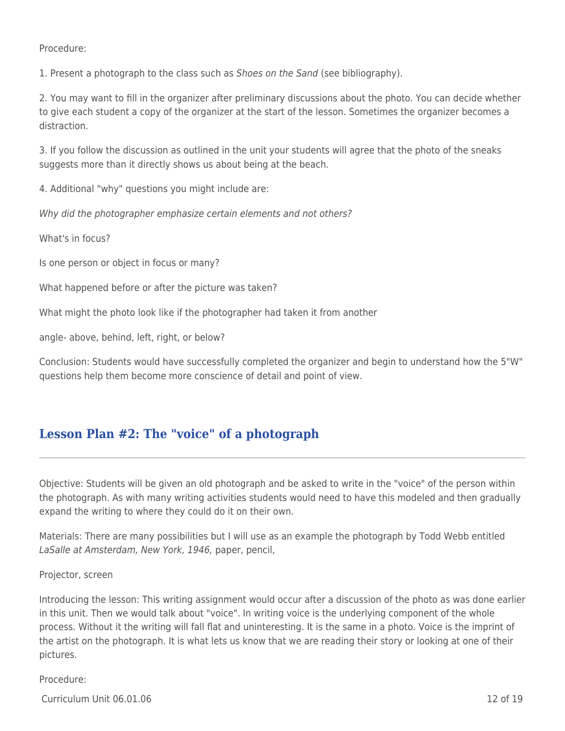Procedure:

1. Present a photograph to the class such as *Shoes on the Sand* (see bibliography).

2. You may want to fill in the organizer after preliminary discussions about the photo. You can decide whether to give each student a copy of the organizer at the start of the lesson. Sometimes the organizer becomes a distraction.

3. If you follow the discussion as outlined in the unit your students will agree that the photo of the sneaks suggests more than it directly shows us about being at the beach.

4. Additional "why" questions you might include are:

Why did the photographer emphasize certain elements and not others?

What's in focus?

Is one person or object in focus or many?

What happened before or after the picture was taken?

What might the photo look like if the photographer had taken it from another

angle- above, behind, left, right, or below?

Conclusion: Students would have successfully completed the organizer and begin to understand how the 5"W" questions help them become more conscience of detail and point of view.

# **Lesson Plan #2: The "voice" of a photograph**

Objective: Students will be given an old photograph and be asked to write in the "voice" of the person within the photograph. As with many writing activities students would need to have this modeled and then gradually expand the writing to where they could do it on their own.

Materials: There are many possibilities but I will use as an example the photograph by Todd Webb entitled LaSalle at Amsterdam, New York, 1946, paper, pencil,

#### Projector, screen

Introducing the lesson: This writing assignment would occur after a discussion of the photo as was done earlier in this unit. Then we would talk about "voice". In writing voice is the underlying component of the whole process. Without it the writing will fall flat and uninteresting. It is the same in a photo. Voice is the imprint of the artist on the photograph. It is what lets us know that we are reading their story or looking at one of their pictures.

#### Procedure:

 $C$ urriculum Unit 06.01.06  $\qquad$  12 of 19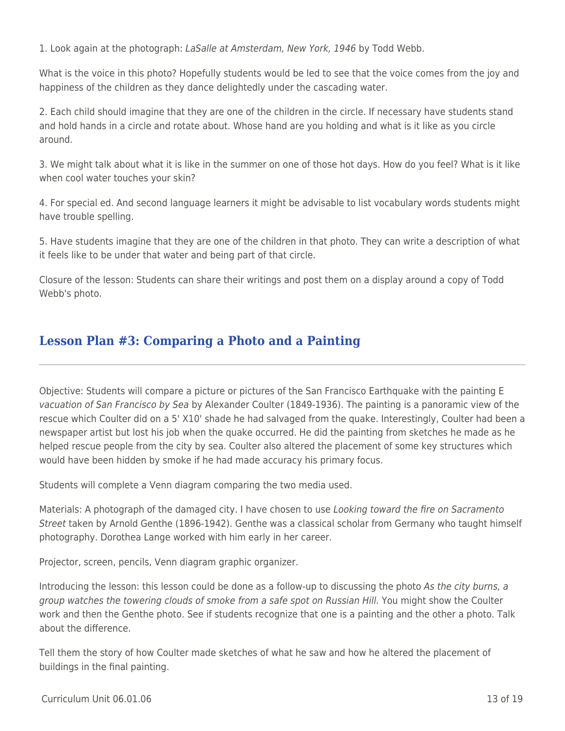1. Look again at the photograph: LaSalle at Amsterdam, New York, 1946 by Todd Webb.

What is the voice in this photo? Hopefully students would be led to see that the voice comes from the joy and happiness of the children as they dance delightedly under the cascading water.

2. Each child should imagine that they are one of the children in the circle. If necessary have students stand and hold hands in a circle and rotate about. Whose hand are you holding and what is it like as you circle around.

3. We might talk about what it is like in the summer on one of those hot days. How do you feel? What is it like when cool water touches your skin?

4. For special ed. And second language learners it might be advisable to list vocabulary words students might have trouble spelling.

5. Have students imagine that they are one of the children in that photo. They can write a description of what it feels like to be under that water and being part of that circle.

Closure of the lesson: Students can share their writings and post them on a display around a copy of Todd Webb's photo.

### **Lesson Plan #3: Comparing a Photo and a Painting**

Objective: Students will compare a picture or pictures of the San Francisco Earthquake with the painting E vacuation of San Francisco by Sea by Alexander Coulter (1849-1936). The painting is a panoramic view of the rescue which Coulter did on a 5' X10' shade he had salvaged from the quake. Interestingly, Coulter had been a newspaper artist but lost his job when the quake occurred. He did the painting from sketches he made as he helped rescue people from the city by sea. Coulter also altered the placement of some key structures which would have been hidden by smoke if he had made accuracy his primary focus.

Students will complete a Venn diagram comparing the two media used.

Materials: A photograph of the damaged city. I have chosen to use Looking toward the fire on Sacramento Street taken by Arnold Genthe (1896-1942). Genthe was a classical scholar from Germany who taught himself photography. Dorothea Lange worked with him early in her career.

Projector, screen, pencils, Venn diagram graphic organizer.

Introducing the lesson: this lesson could be done as a follow-up to discussing the photo As the city burns, a group watches the towering clouds of smoke from a safe spot on Russian Hill. You might show the Coulter work and then the Genthe photo. See if students recognize that one is a painting and the other a photo. Talk about the difference.

Tell them the story of how Coulter made sketches of what he saw and how he altered the placement of buildings in the final painting.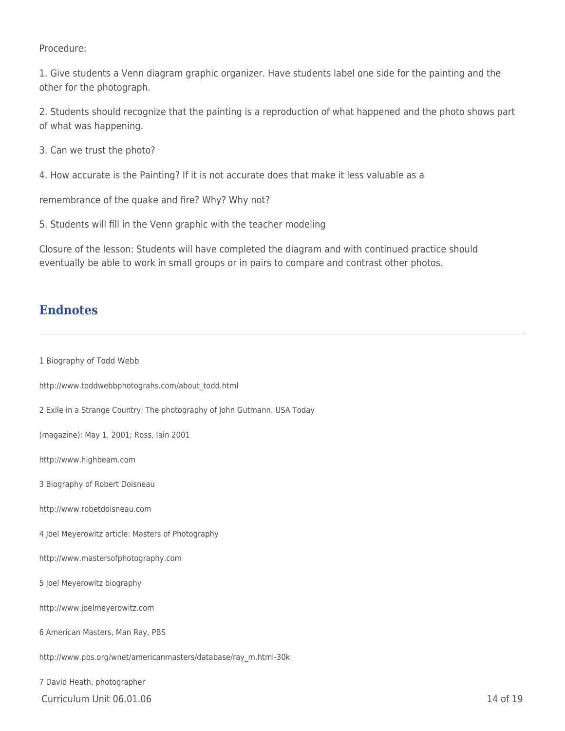Procedure:

1. Give students a Venn diagram graphic organizer. Have students label one side for the painting and the other for the photograph.

2. Students should recognize that the painting is a reproduction of what happened and the photo shows part of what was happening.

- 3. Can we trust the photo?
- 4. How accurate is the Painting? If it is not accurate does that make it less valuable as a

remembrance of the quake and fire? Why? Why not?

5. Students will fill in the Venn graphic with the teacher modeling

Closure of the lesson: Students will have completed the diagram and with continued practice should eventually be able to work in small groups or in pairs to compare and contrast other photos.

### **Endnotes**

 $C$ urriculum Unit 06.01.06  $\qquad$  14 of 19 1 Biography of Todd Webb http://www.toddwebbphotograhs.com/about\_todd.html 2 Exile in a Strange Country: The photography of John Gutmann. USA Today (magazine): May 1, 2001; Ross, Iain 2001 http://www.highbeam.com 3 Biography of Robert Doisneau http://www.robetdoisneau.com 4 Joel Meyerowitz article: Masters of Photography http://www.mastersofphotography.com 5 Joel Meyerowitz biography http://www.joelmeyerowitz.com 6 American Masters, Man Ray, PBS http://www.pbs.org/wnet/americanmasters/database/ray\_m.html-30k 7 David Heath, photographer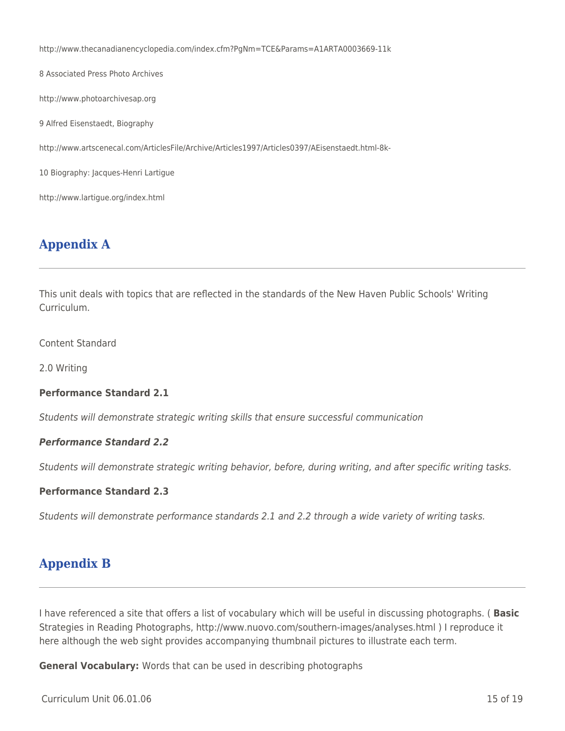http://www.thecanadianencyclopedia.com/index.cfm?PgNm=TCE&Params=A1ARTA0003669-11k 8 Associated Press Photo Archives http://www.photoarchivesap.org 9 Alfred Eisenstaedt, Biography http://www.artscenecal.com/ArticlesFile/Archive/Articles1997/Articles0397/AEisenstaedt.html-8k-10 Biography: Jacques-Henri Lartigue http://www.lartigue.org/index.html

# **Appendix A**

This unit deals with topics that are reflected in the standards of the New Haven Public Schools' Writing Curriculum.

Content Standard

2.0 Writing

#### **Performance Standard 2.1**

Students will demonstrate strategic writing skills that ensure successful communication

#### *Performance Standard 2.2*

Students will demonstrate strategic writing behavior, before, during writing, and after specific writing tasks.

#### **Performance Standard 2.3**

Students will demonstrate performance standards 2.1 and 2.2 through a wide variety of writing tasks.

### **Appendix B**

I have referenced a site that offers a list of vocabulary which will be useful in discussing photographs. ( **Basic** Strategies in Reading Photographs, http://www.nuovo.com/southern-images/analyses.html ) I reproduce it here although the web sight provides accompanying thumbnail pictures to illustrate each term.

**General Vocabulary:** Words that can be used in describing photographs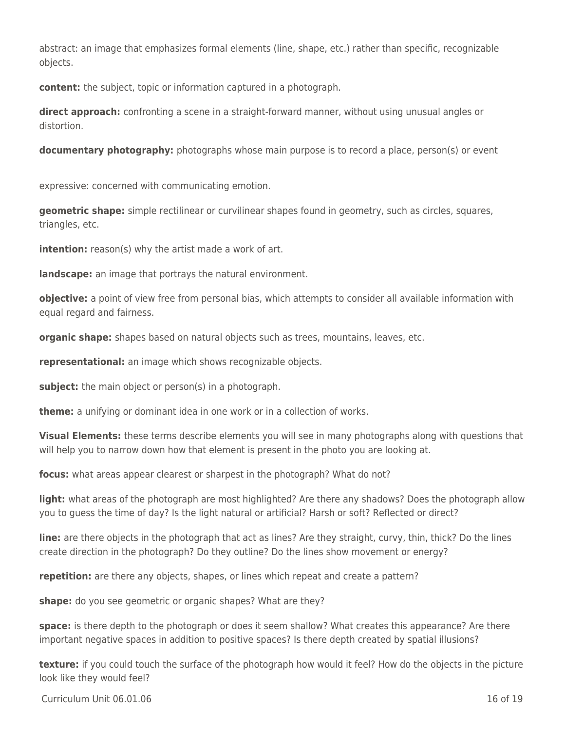abstract: an image that emphasizes formal elements (line, shape, etc.) rather than specific, recognizable objects.

**content:** the subject, topic or information captured in a photograph.

**direct approach:** confronting a scene in a straight-forward manner, without using unusual angles or distortion.

**documentary photography:** photographs whose main purpose is to record a place, person(s) or event

expressive: concerned with communicating emotion.

**geometric shape:** simple rectilinear or curvilinear shapes found in geometry, such as circles, squares, triangles, etc.

**intention:** reason(s) why the artist made a work of art.

**landscape:** an image that portrays the natural environment.

**objective:** a point of view free from personal bias, which attempts to consider all available information with equal regard and fairness.

**organic shape:** shapes based on natural objects such as trees, mountains, leaves, etc.

**representational:** an image which shows recognizable objects.

subject: the main object or person(s) in a photograph.

**theme:** a unifying or dominant idea in one work or in a collection of works.

**Visual Elements:** these terms describe elements you will see in many photographs along with questions that will help you to narrow down how that element is present in the photo you are looking at.

**focus:** what areas appear clearest or sharpest in the photograph? What do not?

**light:** what areas of the photograph are most highlighted? Are there any shadows? Does the photograph allow you to guess the time of day? Is the light natural or artificial? Harsh or soft? Reflected or direct?

**line:** are there objects in the photograph that act as lines? Are they straight, curvy, thin, thick? Do the lines create direction in the photograph? Do they outline? Do the lines show movement or energy?

**repetition:** are there any objects, shapes, or lines which repeat and create a pattern?

**shape:** do you see geometric or organic shapes? What are they?

**space:** is there depth to the photograph or does it seem shallow? What creates this appearance? Are there important negative spaces in addition to positive spaces? Is there depth created by spatial illusions?

**texture:** if you could touch the surface of the photograph how would it feel? How do the objects in the picture look like they would feel?

 $C$ urriculum Unit 06.01.06  $\qquad$  19 of 19 of 19 of 19 of 19 of 19 of 19 of 19 of 19 of 19 of 19 of 19 of 19 of 19 of 19 of 19 of 19 of 19 of 19 of 19 of 19 of 19 of 19 of 19 of 19 of 19 of 19 of 19 of 19 of 19 of 19 of 19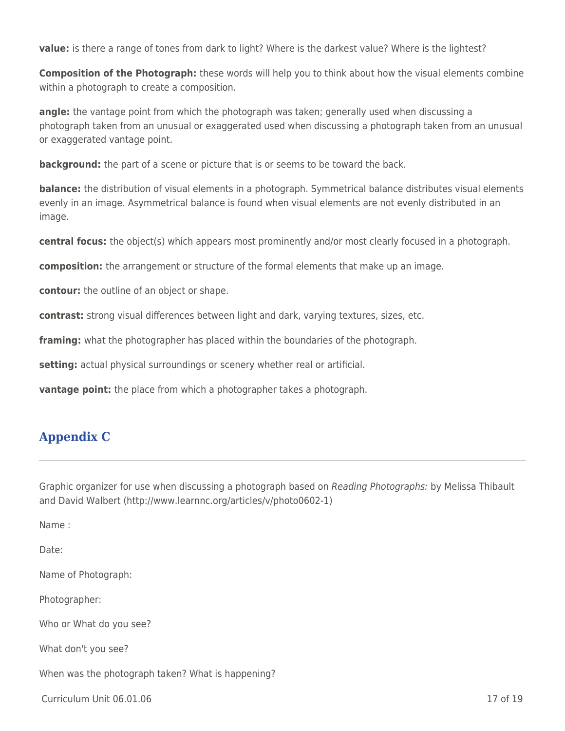**value:** is there a range of tones from dark to light? Where is the darkest value? Where is the lightest?

**Composition of the Photograph:** these words will help you to think about how the visual elements combine within a photograph to create a composition.

**angle:** the vantage point from which the photograph was taken; generally used when discussing a photograph taken from an unusual or exaggerated used when discussing a photograph taken from an unusual or exaggerated vantage point.

**background:** the part of a scene or picture that is or seems to be toward the back.

**balance:** the distribution of visual elements in a photograph. Symmetrical balance distributes visual elements evenly in an image. Asymmetrical balance is found when visual elements are not evenly distributed in an image.

**central focus:** the object(s) which appears most prominently and/or most clearly focused in a photograph.

**composition:** the arrangement or structure of the formal elements that make up an image.

**contour:** the outline of an object or shape.

**contrast:** strong visual differences between light and dark, varying textures, sizes, etc.

**framing:** what the photographer has placed within the boundaries of the photograph.

**setting:** actual physical surroundings or scenery whether real or artificial.

**vantage point:** the place from which a photographer takes a photograph.

### **Appendix C**

Graphic organizer for use when discussing a photograph based on Reading Photographs: by Melissa Thibault and David Walbert (http://www.learnnc.org/articles/v/photo0602-1)

Name :

Date:

Name of Photograph:

Photographer:

Who or What do you see?

What don't you see?

When was the photograph taken? What is happening?

 $C$ urriculum Unit 06.01.06  $\qquad$  17 of 19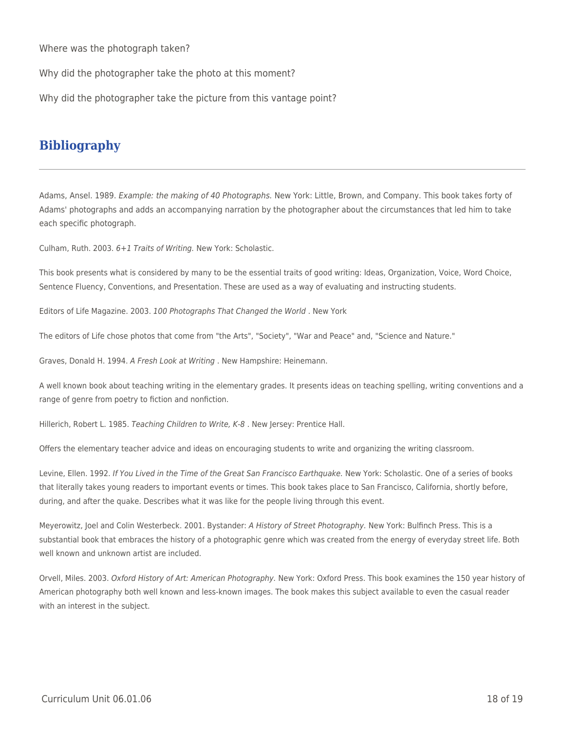Where was the photograph taken?

Why did the photographer take the photo at this moment?

Why did the photographer take the picture from this vantage point?

### **Bibliography**

Adams, Ansel. 1989. Example: the making of 40 Photographs. New York: Little, Brown, and Company. This book takes forty of Adams' photographs and adds an accompanying narration by the photographer about the circumstances that led him to take each specific photograph.

Culham, Ruth. 2003. 6+1 Traits of Writing. New York: Scholastic.

This book presents what is considered by many to be the essential traits of good writing: Ideas, Organization, Voice, Word Choice, Sentence Fluency, Conventions, and Presentation. These are used as a way of evaluating and instructing students.

Editors of Life Magazine. 2003. 100 Photographs That Changed the World . New York

The editors of Life chose photos that come from "the Arts", "Society", "War and Peace" and, "Science and Nature."

Graves, Donald H. 1994. A Fresh Look at Writing . New Hampshire: Heinemann.

A well known book about teaching writing in the elementary grades. It presents ideas on teaching spelling, writing conventions and a range of genre from poetry to fiction and nonfiction.

Hillerich, Robert L. 1985. Teaching Children to Write, K-8. New Jersey: Prentice Hall.

Offers the elementary teacher advice and ideas on encouraging students to write and organizing the writing classroom.

Levine, Ellen. 1992. If You Lived in the Time of the Great San Francisco Earthquake. New York: Scholastic. One of a series of books that literally takes young readers to important events or times. This book takes place to San Francisco, California, shortly before, during, and after the quake. Describes what it was like for the people living through this event.

Meyerowitz, Joel and Colin Westerbeck. 2001. Bystander: A History of Street Photography. New York: Bulfinch Press. This is a substantial book that embraces the history of a photographic genre which was created from the energy of everyday street life. Both well known and unknown artist are included.

Orvell, Miles. 2003. Oxford History of Art: American Photography. New York: Oxford Press. This book examines the 150 year history of American photography both well known and less-known images. The book makes this subject available to even the casual reader with an interest in the subject.